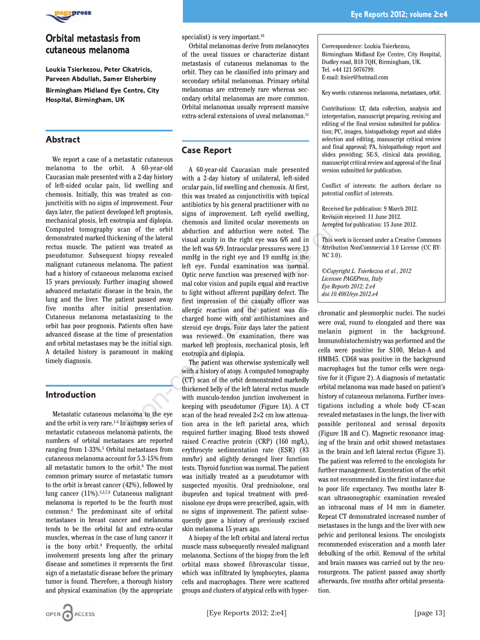

# **Orbital metastasis from cutaneous melanoma**

**Loukia Tsierkezou, Peter Cikatricis, Parveen Abdullah, Samer Elsherbiny Birmingham Midland Eye Centre, City Hospital, Birmingham, UK**

## **Abstract**

We report a case of a metastatic cutaneous melanoma to the orbit. A 60-year-old Caucasian male presented with a 2-day history of left-sided ocular pain, lid swelling and chemosis. Initially, this was treated as conjunctivitis with no signs of improvement. Four days later, the patient developed left proptosis, mechanical ptosis, left esotropia and diplopia. Computed tomography scan of the orbit demonstrated marked thickening of the lateral rectus muscle. The patient was treated as pseudotumor. Subsequent biopsy revealed malignant cutaneous melanoma. The patient had a history of cutaneous melanoma excised 15 years previously. Further imaging showed advanced metastatic disease in the brain, the lung and the liver. The patient passed away five months after initial presentation. Cutaneous melanoma metastasizing to the orbit has poor prognosis. Patients often have advanced disease at the time of presentation and orbital metastases may be the initial sign. A detailed history is paramount in making timely diagnosis.

#### **Introduction**

Metastatic cutaneous melanoma to the eye and the orbit is very rare.1-4 In autopsy series of metastatic cutaneous melanoma patients, the numbers of orbital metastases are reported ranging from 1-33%.5 Orbital metastases from cutaneous melanoma account for 5.3-15% from all metastatic tumors to the orbit.6 The most common primary source of metastatic tumors to the orbit is breast cancer (42%), followed by lung cancer (11%).3,5,7,8 Cutaneous malignant melanoma is reported to be the fourth most common.4 The predominant site of orbital metastases in breast cancer and melanoma tends to be the orbital fat and extra-ocular muscles, whereas in the case of lung cancer it is the bony orbit.9 Frequently, the orbital involvement presents long after the primary disease and sometimes it represents the first sign of a metastatic disease before the primary tumor is found. Therefore, a thorough history and physical examination (by the appropriate

Orbital melanomas derive from melanocytes of the uveal tissues or characterize distant metastasis of cutaneous melanomas to the orbit. They can be classified into primary and secondary orbital melanomas. Primary orbital melanomas are extremely rare whereas secondary orbital melanomas are more common. Orbital melanomas usually represent massive extra-scleral extensions of uveal melanomas.<sup>11</sup>

## **Case Report**

A 60-year-old Caucasian male presented with a 2-day history of unilateral, left-sided ocular pain, lid swelling and chemosis. At first, this was treated as conjunctivitis with topical antibiotics by his general practitioner with no signs of improvement. Left eyelid swelling, chemosis and limited ocular movements on abduction and adduction were noted. The visual acuity in the right eye was 6/6 and in the left was 6/9. Intraocular pressures were 13 mmHg in the right eye and 19 mmHg in the left eye. Fundal examination was normal. Optic nerve function was preserved with normal color vision and pupils equal and reactive to light without afferent pupillary defect. The first impression of the casualty officer was allergic reaction and the patient was discharged home with oral antihistamines and steroid eye drops. Four days later the patient was reviewed. On examination, there was marked left proptosis, mechanical ptosis, left esotropia and diplopia. The distribution of the correct of the position of the behind of diphopia. The position of the orbit and diphopia and of the orbit achievation and altherion were noted. The axes of the orbit was treated as the left was 69

The patient was otherwise systemically well with a history of atopy. A computed tomography (CT) scan of the orbit demonstrated markedly thickened belly of the left lateral rectus muscle with musculo-tendon junction involvement in keeping with pseudotumor (Figure 1A). A CT scan of the head revealed  $2\times2$  cm low attenuation area in the left parietal area, which required further imaging. Blood tests showed raised C-reactive protein (CRP) (160 mg/L), erythrocyte sedimentation rate (ESR) (83 mm/hr) and slightly deranged liver function tests. Thyroid function was normal. The patient was initially treated as a pseudotumor with suspected myositis. Oral prednisolone, oral ibuprofen and topical treatment with prednisolone eye drops were prescribed, again, with no signs of improvement. The patient subsequently gave a history of previously excised skin melanoma 15 years ago.

A biopsy of the left orbital and lateral rectus muscle mass subsequently revealed malignant melanoma. Sections of the biopsy from the left orbital mass showed fibrovascular tissue, which was infiltrated by lymphocytes, plasma cells and macrophages. There were scattered groups and clusters of atypical cells with hyperCorrespondence: Loukia Tsierkezou, Birmingham Midland Eye Centre, City Hospital, Dudley road, B18 7QH, Birmingham, UK. Tel. +44 121 5076799. E-mail: ltsier@hotmail.com

Key words: cutaneous melanoma, metastases, orbit.

Contributions: LT, data collection, analysis and interpretation, manuscript preparing, revising and editing of the final version submitted for publication; PC, images, histopathology report and slides selection and editing, manuscript critical review and final approval; PA, histopathology report and slides providing; SE-S, clinical data providing, manuscript critical review and approval of the final version submitted for publication.

Conflict of interests: the authors declare no potential conflict of interests.

Received for publication: 9 March 2012. Revision received: 11 June 2012. Accepted for publication: 15 June 2012.

This work is licensed under a Creative Commons Attribution NonCommercial 3.0 License (CC BY-NC 3.0).

*©Copyright L. Tsierkezou et al., 2012 Licensee PAGEPress, Italy Eye Reports 2012; 2:e4 doi:10.4081/eye.2012.e4*

chromatic and pleomorphic nuclei. The nuclei were oval, round to elongated and there was melanin pigment in the background. Immunohistochemistry was performed and the cells were positive for S100, Melan-A and HMB45. CD68 was positive in the background macrophages but the tumor cells were negative for it (Figure 2). A diagnosis of metastatic orbital melanoma was made based on patient's history of cutaneous melanoma. Further investigations including a whole body CT-scan revealed metastases in the lungs, the liver with possible peritoneal and serosal deposits (Figure 1B and C). Magnetic resonance imaging of the brain and orbit showed metastases in the brain and left lateral rectus (Figure 3). The patient was referred to the oncologists for further management. Exenteration of the orbit was not recommended in the first instance due to poor life expectancy. Two months later Bscan ultrasonographic examination revealed an intraconal mass of 14 mm in diameter. Repeat CT demonstrated increased number of metastases in the lungs and the liver with new pelvic and peritoneal lesions. The oncologists recommended evisceration and a month later debulking of the orbit. Removal of the orbital and brain masses was carried out by the neurosurgeons. The patient passed away shortly afterwards, five months after orbital presentation.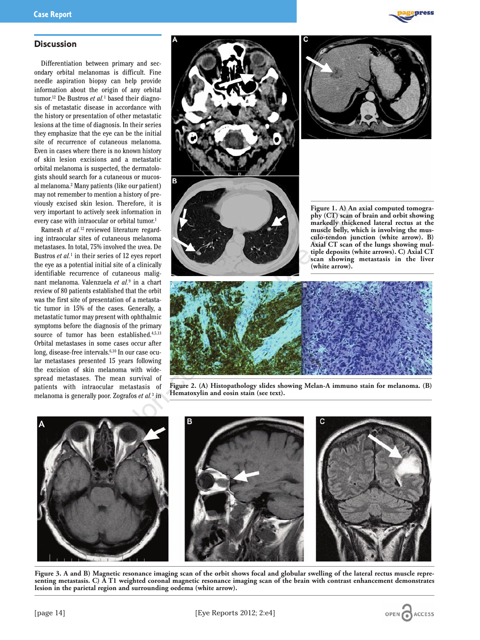

#### **Discussion**

Differentiation between primary and secondary orbital melanomas is difficult. Fine needle aspiration biopsy can help provide information about the origin of any orbital tumor.12 De Bustros *et al.*<sup>1</sup> based their diagnosis of metastatic disease in accordance with the history or presentation of other metastatic lesions at the time of diagnosis. In their series they emphasize that the eye can be the initial site of recurrence of cutaneous melanoma. Even in cases where there is no known history of skin lesion excisions and a metastatic orbital melanoma is suspected, the dermatologists should search for a cutaneous or mucosal melanoma.2 Many patients (like our patient) may not remember to mention a history of previously excised skin lesion. Therefore, it is very important to actively seek information in every case with intraocular or orbital tumor.<sup>1</sup>

Ramesh *et al.*12 reviewed literature regarding intraocular sites of cutaneous melanoma metastases. In total, 75% involved the uvea. De Bustros *et al.*<sup>1</sup> in their series of 12 eyes report the eye as a potential initial site of a clinically identifiable recurrence of cutaneous malignant melanoma. Valenzuela *et al.*<sup>9</sup> in a chart review of 80 patients established that the orbit was the first site of presentation of a metastatic tumor in 15% of the cases. Generally, a metastatic tumor may present with ophthalmic symptoms before the diagnosis of the primary source of tumor has been established.<sup>4,5,13</sup> Orbital metastases in some cases occur after long, disease-free intervals.6,10 In our case ocular metastases presented 15 years following the excision of skin melanoma with widespread metastases. The mean survival of patients with intraocular metastasis of melanoma is generally poor. Zografos *et al.*<sup>3</sup> in





OPEN CACCESS



**Figure 2. (A) Histopathology slides showing Melan-A immuno stain for melanoma. (B) Hematoxylin and eosin stain (see text).** 



**Figure 3. A and B) Magnetic resonance imaging scan of the orbit shows focal and globular swelling of the lateral rectus muscle representing metastasis. C) A T1 weighted coronal magnetic resonance imaging scan of the brain with contrast enhancement demonstrates lesion in the parietal region and surrounding oedema (white arrow).**